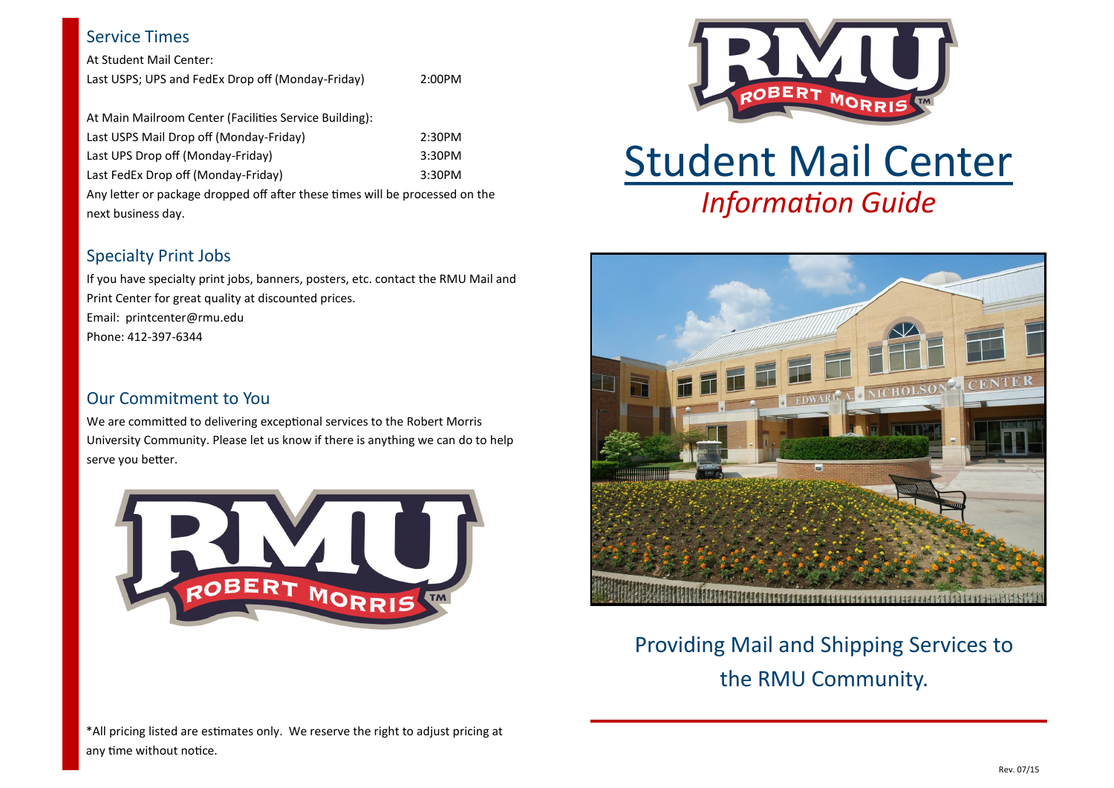#### Service Times

At Student Mail Center: Last USPS; UPS and FedEx Drop off (Monday-Friday) 2:00PM

At Main Mailroom Center (Facilities Service Building): Last USPS Mail Drop off (Monday-Friday) 2:30PM Last UPS Drop off (Monday-Friday) 3:30PM Last FedEx Drop off (Monday-Friday) 3:30PM Any letter or package dropped off after these times will be processed on the

## Specialty Print Jobs

next business day.

If you have specialty print jobs, banners, posters, etc. contact the RMU Mail and Print Center for great quality at discounted prices. Email: printcenter@rmu.edu Phone: 412-397-6344

# Our Commitment to You

We are committed to delivering exceptional services to the Robert Morris University Community. Please let us know if there is anything we can do to help serve you better.





# *Information Guide* Student Mail Center



Providing Mail and Shipping Services to the RMU Community.

\*All pricing listed are estimates only. We reserve the right to adjust pricing at any time without notice.